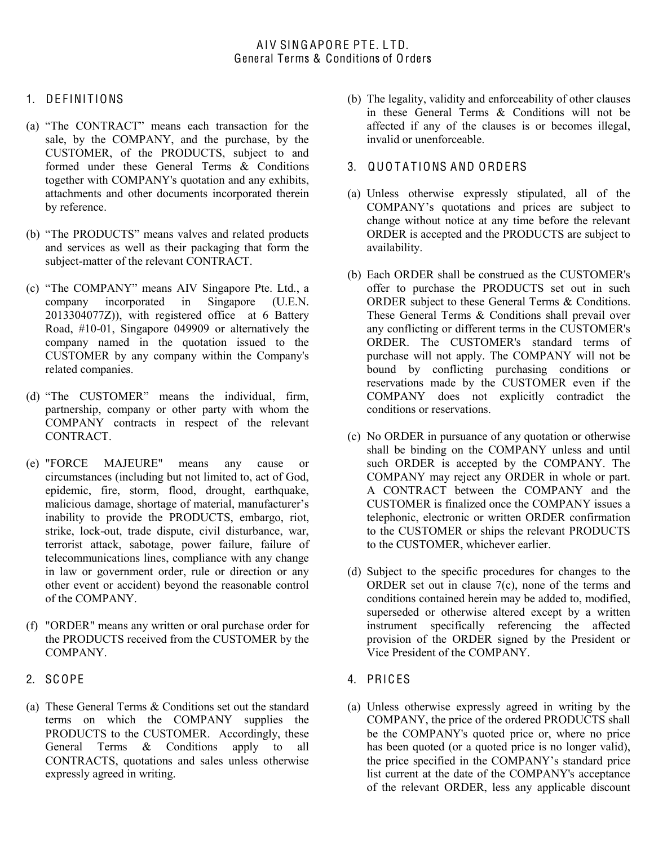## 1. DEFINITIONS

- (a) "The CONTRACT" means each transaction for the sale, by the COMPANY, and the purchase, by the CUSTOMER, of the PRODUCTS, subject to and formed under these General Terms & Conditions together with COMPANY's quotation and any exhibits, attachments and other documents incorporated therein by reference.
- (b) "The PRODUCTS" means valves and related products and services as well as their packaging that form the subject-matter of the relevant CONTRACT.
- (c) "The COMPANY" means AIV Singapore Pte. Ltd., a company incorporated in Singapore (U.E.N. company incorporated in 2013304077Z)), with registered office at 6 Battery Road, #10-01, Singapore 049909 or alternatively the company named in the quotation issued to the CUSTOMER by any company within the Company's related companies.
- (d) "The CUSTOMER" means the individual, firm, partnership, company or other party with whom the COMPANY contracts in respect of the relevant CONTRACT.
- (e) "FORCE MAJEURE" means any cause or circumstances (including but not limited to, act of God, epidemic, fire, storm, flood, drought, earthquake, malicious damage, shortage of material, manufacturer's inability to provide the PRODUCTS, embargo, riot, strike, lock-out, trade dispute, civil disturbance, war, terrorist attack, sabotage, power failure, failure of telecommunications lines, compliance with any change in law or government order, rule or direction or any other event or accident) beyond the reasonable control of the COMPANY.
- (f) "ORDER" means any written or oral purchase order for the PRODUCTS received from the CUSTOMER by the COMPANY.
- 2. SC OPE
- (a) These General Terms & Conditions set out the standard terms on which the COMPANY supplies the PRODUCTS to the CUSTOMER. Accordingly, these General Terms & Conditions apply to all CONTRACTS, quotations and sales unless otherwise expressly agreed in writing.
- (b) The legality, validity and enforceability of other clauses in these General Terms & Conditions will not be affected if any of the clauses is or becomes illegal, invalid or unenforceable.
- 3. QUOTATIONS AND ORDERS
- (a) Unless otherwise expressly stipulated, all of the COMPANY's quotations and prices are subject to change without notice at any time before the relevant ORDER is accepted and the PRODUCTS are subject to availability.
- (b) Each ORDER shall be construed as the CUSTOMER's offer to purchase the PRODUCTS set out in such ORDER subject to these General Terms & Conditions. These General Terms & Conditions shall prevail over any conflicting or different terms in the CUSTOMER's ORDER. The CUSTOMER's standard terms of purchase will not apply. The COMPANY will not be bound by conflicting purchasing conditions or reservations made by the CUSTOMER even if the COMPANY does not explicitly contradict the conditions or reservations.
- (c) No ORDER in pursuance of any quotation or otherwise shall be binding on the COMPANY unless and until such ORDER is accepted by the COMPANY. The COMPANY may reject any ORDER in whole or part. A CONTRACT between the COMPANY and the CUSTOMER is finalized once the COMPANY issues a telephonic, electronic or written ORDER confirmation to the CUSTOMER or ships the relevant PRODUCTS to the CUSTOMER, whichever earlier.
- (d) Subject to the specific procedures for changes to the ORDER set out in clause 7(c), none of the terms and conditions contained herein may be added to, modified, superseded or otherwise altered except by a written instrument specifically referencing the affected provision of the ORDER signed by the President or Vice President of the COMPANY.
- 4. PRIC ES
- (a) Unless otherwise expressly agreed in writing by the COMPANY, the price of the ordered PRODUCTS shall be the COMPANY's quoted price or, where no price has been quoted (or a quoted price is no longer valid), the price specified in the COMPANY's standard price list current at the date of the COMPANY's acceptance of the relevant ORDER, less any applicable discount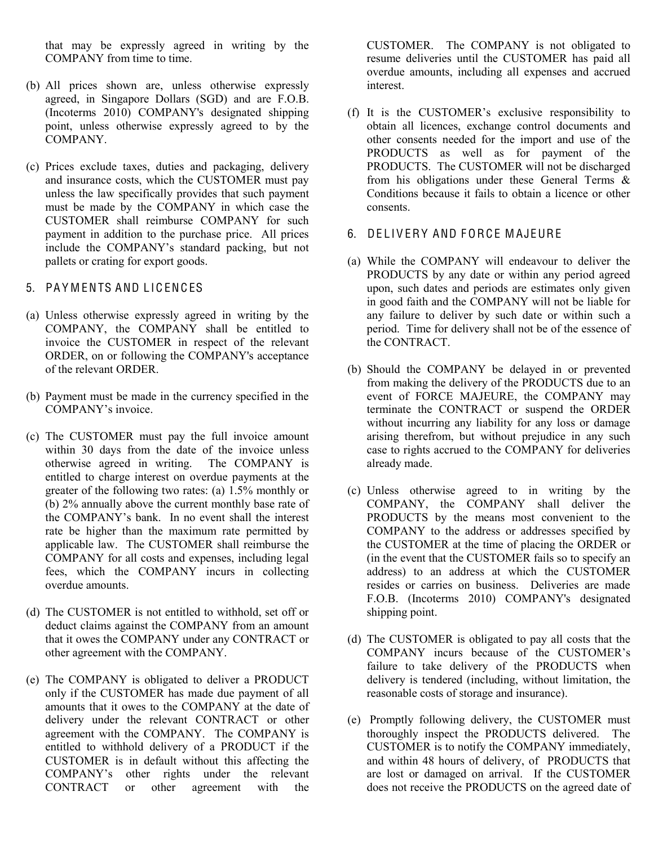that may be expressly agreed in writing by the COMPANY from time to time.

- (b) All prices shown are, unless otherwise expressly agreed, in Singapore Dollars (SGD) and are F.O.B. (Incoterms 2010) COMPANY's designated shipping point, unless otherwise expressly agreed to by the COMPANY.
- (c) Prices exclude taxes, duties and packaging, delivery and insurance costs, which the CUSTOMER must pay unless the law specifically provides that such payment must be made by the COMPANY in which case the CUSTOMER shall reimburse COMPANY for such payment in addition to the purchase price. All prices include the COMPANY's standard packing, but not pallets or crating for export goods.
- 5. PA Y M ENTS AND L IC ENC ES
- (a) Unless otherwise expressly agreed in writing by the COMPANY, the COMPANY shall be entitled to invoice the CUSTOMER in respect of the relevant ORDER, on or following the COMPANY's acceptance of the relevant ORDER.
- (b) Payment must be made in the currency specified in the COMPANY's invoice.
- (c) The CUSTOMER must pay the full invoice amount within 30 days from the date of the invoice unless otherwise agreed in writing. The COMPANY is entitled to charge interest on overdue payments at the greater of the following two rates: (a) 1.5% monthly or (b) 2% annually above the current monthly base rate of the COMPANY's bank. In no event shall the interest rate be higher than the maximum rate permitted by applicable law. The CUSTOMER shall reimburse the COMPANY for all costs and expenses, including legal fees, which the COMPANY incurs in collecting overdue amounts.
- (d) The CUSTOMER is not entitled to withhold, set off or deduct claims against the COMPANY from an amount that it owes the COMPANY under any CONTRACT or other agreement with the COMPANY.
- (e) The COMPANY is obligated to deliver a PRODUCT only if the CUSTOMER has made due payment of all amounts that it owes to the COMPANY at the date of delivery under the relevant CONTRACT or other agreement with the COMPANY. The COMPANY is entitled to withhold delivery of a PRODUCT if the CUSTOMER is in default without this affecting the COMPANY's other rights under the relevant CONTRACT or other agreement with the

CUSTOMER. The COMPANY is not obligated to resume deliveries until the CUSTOMER has paid all overdue amounts, including all expenses and accrued interest.

- (f) It is the CUSTOMER's exclusive responsibility to obtain all licences, exchange control documents and other consents needed for the import and use of the PRODUCTS as well as for payment of the PRODUCTS. The CUSTOMER will not be discharged from his obligations under these General Terms & Conditions because it fails to obtain a licence or other consents.
- 6. DELIVERY AND FORCE MAJEURE
- (a) While the COMPANY will endeavour to deliver the PRODUCTS by any date or within any period agreed upon, such dates and periods are estimates only given in good faith and the COMPANY will not be liable for any failure to deliver by such date or within such a period. Time for delivery shall not be of the essence of the CONTRACT.
- (b) Should the COMPANY be delayed in or prevented from making the delivery of the PRODUCTS due to an event of FORCE MAJEURE, the COMPANY may terminate the CONTRACT or suspend the ORDER without incurring any liability for any loss or damage arising therefrom, but without prejudice in any such case to rights accrued to the COMPANY for deliveries already made.
- (c) Unless otherwise agreed to in writing by the COMPANY, the COMPANY shall deliver the PRODUCTS by the means most convenient to the COMPANY to the address or addresses specified by the CUSTOMER at the time of placing the ORDER or (in the event that the CUSTOMER fails so to specify an address) to an address at which the CUSTOMER resides or carries on business. Deliveries are made F.O.B. (Incoterms 2010) COMPANY's designated shipping point.
- (d) The CUSTOMER is obligated to pay all costs that the COMPANY incurs because of the CUSTOMER's failure to take delivery of the PRODUCTS when delivery is tendered (including, without limitation, the reasonable costs of storage and insurance).
- (e) Promptly following delivery, the CUSTOMER must thoroughly inspect the PRODUCTS delivered. The CUSTOMER is to notify the COMPANY immediately, and within 48 hours of delivery, of PRODUCTS that are lost or damaged on arrival. If the CUSTOMER does not receive the PRODUCTS on the agreed date of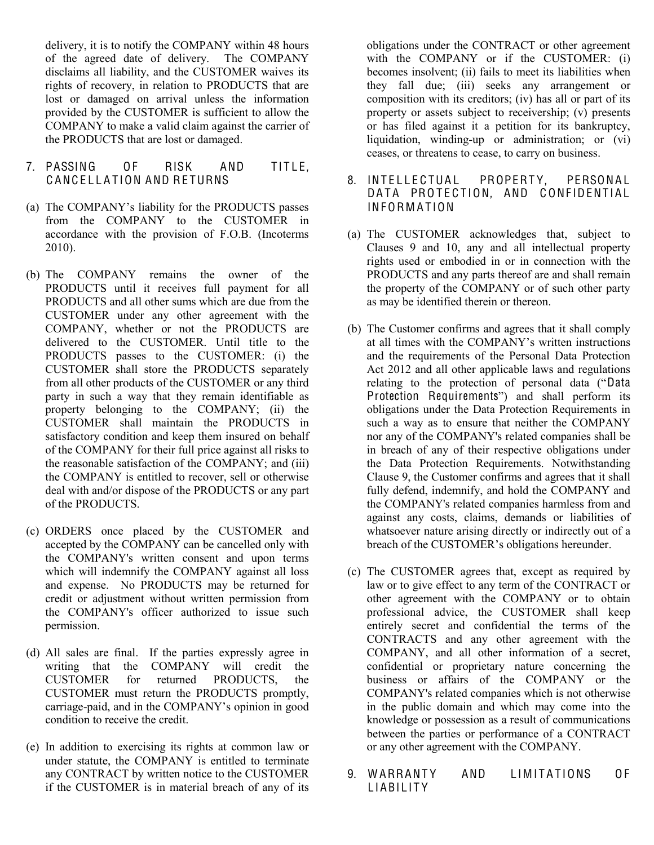delivery, it is to notify the COMPANY within 48 hours of the agreed date of delivery. The COMPANY disclaims all liability, and the CUSTOMER waives its rights of recovery, in relation to PRODUCTS that are lost or damaged on arrival unless the information provided by the CUSTOMER is sufficient to allow the COMPANY to make a valid claim against the carrier of the PRODUCTS that are lost or damaged.

- 7. PASSING OF RISK AND TITLE. CANCELLATION AND RETURNS
- (a) The COMPANY's liability for the PRODUCTS passes from the COMPANY to the CUSTOMER in accordance with the provision of F.O.B. (Incoterms 2010).
- (b) The COMPANY remains the owner of the PRODUCTS until it receives full payment for all PRODUCTS and all other sums which are due from the CUSTOMER under any other agreement with the COMPANY, whether or not the PRODUCTS are delivered to the CUSTOMER. Until title to the PRODUCTS passes to the CUSTOMER: (i) the CUSTOMER shall store the PRODUCTS separately from all other products of the CUSTOMER or any third party in such a way that they remain identifiable as property belonging to the COMPANY; (ii) the CUSTOMER shall maintain the PRODUCTS in satisfactory condition and keep them insured on behalf of the COMPANY for their full price against all risks to the reasonable satisfaction of the COMPANY; and (iii) the COMPANY is entitled to recover, sell or otherwise deal with and/or dispose of the PRODUCTS or any part of the PRODUCTS.
- (c) ORDERS once placed by the CUSTOMER and accepted by the COMPANY can be cancelled only with the COMPANY's written consent and upon terms which will indemnify the COMPANY against all loss and expense. No PRODUCTS may be returned for credit or adjustment without written permission from the COMPANY's officer authorized to issue such permission.
- (d) All sales are final. If the parties expressly agree in writing that the COMPANY will credit the CUSTOMER for returned PRODUCTS, the CUSTOMER must return the PRODUCTS promptly, carriage-paid, and in the COMPANY's opinion in good condition to receive the credit.
- (e) In addition to exercising its rights at common law or under statute, the COMPANY is entitled to terminate any CONTRACT by written notice to the CUSTOMER if the CUSTOMER is in material breach of any of its

obligations under the CONTRACT or other agreement with the COMPANY or if the CUSTOMER: (i) becomes insolvent; (ii) fails to meet its liabilities when they fall due; (iii) seeks any arrangement or composition with its creditors; (iv) has all or part of its property or assets subject to receivership; (v) presents or has filed against it a petition for its bankruptcy, liquidation, winding-up or administration; or (vi) ceases, or threatens to cease, to carry on business.

- 8. INTELLECTUAL PROPERTY. PERSONAL DATA PROTECTION, AND CONFIDENTIAL **INFORMATION**
- (a) The CUSTOMER acknowledges that, subject to Clauses 9 and 10, any and all intellectual property rights used or embodied in or in connection with the PRODUCTS and any parts thereof are and shall remain the property of the COMPANY or of such other party as may be identified therein or thereon.
- (b) The Customer confirms and agrees that it shall comply at all times with the COMPANY's written instructions and the requirements of the Personal Data Protection Act 2012 and all other applicable laws and regulations relating to the protection of personal data ("Data Protection Requirements") and shall perform its obligations under the Data Protection Requirements in such a way as to ensure that neither the COMPANY nor any of the COMPANY's related companies shall be in breach of any of their respective obligations under the Data Protection Requirements. Notwithstanding Clause 9, the Customer confirms and agrees that it shall fully defend, indemnify, and hold the COMPANY and the COMPANY's related companies harmless from and against any costs, claims, demands or liabilities of whatsoever nature arising directly or indirectly out of a breach of the CUSTOMER's obligations hereunder.
- (c) The CUSTOMER agrees that, except as required by law or to give effect to any term of the CONTRACT or other agreement with the COMPANY or to obtain professional advice, the CUSTOMER shall keep entirely secret and confidential the terms of the CONTRACTS and any other agreement with the COMPANY, and all other information of a secret, confidential or proprietary nature concerning the business or affairs of the COMPANY or the COMPANY's related companies which is not otherwise in the public domain and which may come into the knowledge or possession as a result of communications between the parties or performance of a CONTRACT or any other agreement with the COMPANY.
- 9. WARRANTY AND LIMITATIONS OF LIABILITY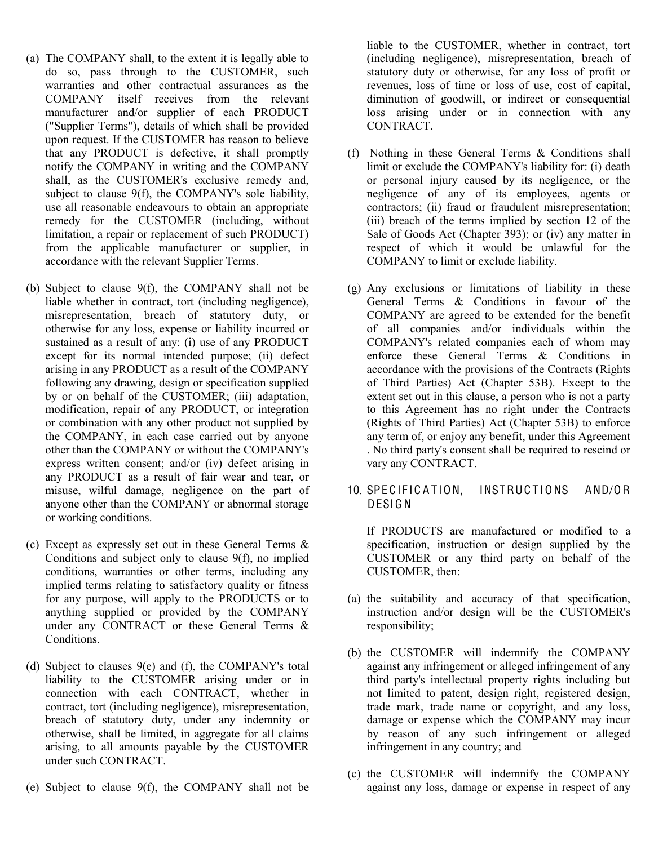- (a) The COMPANY shall, to the extent it is legally able to do so, pass through to the CUSTOMER, such warranties and other contractual assurances as the COMPANY itself receives from the relevant manufacturer and/or supplier of each PRODUCT ("Supplier Terms"), details of which shall be provided upon request. If the CUSTOMER has reason to believe that any PRODUCT is defective, it shall promptly notify the COMPANY in writing and the COMPANY shall, as the CUSTOMER's exclusive remedy and, subject to clause 9(f), the COMPANY's sole liability, use all reasonable endeavours to obtain an appropriate remedy for the CUSTOMER (including, without limitation, a repair or replacement of such PRODUCT) from the applicable manufacturer or supplier, in accordance with the relevant Supplier Terms.
- (b) Subject to clause 9(f), the COMPANY shall not be liable whether in contract, tort (including negligence), misrepresentation, breach of statutory duty, or otherwise for any loss, expense or liability incurred or sustained as a result of any: (i) use of any PRODUCT except for its normal intended purpose; (ii) defect arising in any PRODUCT as a result of the COMPANY following any drawing, design or specification supplied by or on behalf of the CUSTOMER; (iii) adaptation, modification, repair of any PRODUCT, or integration or combination with any other product not supplied by the COMPANY, in each case carried out by anyone other than the COMPANY or without the COMPANY's express written consent; and/or (iv) defect arising in any PRODUCT as a result of fair wear and tear, or misuse, wilful damage, negligence on the part of anyone other than the COMPANY or abnormal storage or working conditions.
- (c) Except as expressly set out in these General Terms & Conditions and subject only to clause 9(f), no implied conditions, warranties or other terms, including any implied terms relating to satisfactory quality or fitness for any purpose, will apply to the PRODUCTS or to anything supplied or provided by the COMPANY under any CONTRACT or these General Terms & Conditions.
- (d) Subject to clauses 9(e) and (f), the COMPANY's total liability to the CUSTOMER arising under or in connection with each CONTRACT, whether in contract, tort (including negligence), misrepresentation, breach of statutory duty, under any indemnity or otherwise, shall be limited, in aggregate for all claims arising, to all amounts payable by the CUSTOMER under such CONTRACT.
- (e) Subject to clause 9(f), the COMPANY shall not be

liable to the CUSTOMER, whether in contract, tort (including negligence), misrepresentation, breach of statutory duty or otherwise, for any loss of profit or revenues, loss of time or loss of use, cost of capital, diminution of goodwill, or indirect or consequential loss arising under or in connection with any CONTRACT.

- (f) Nothing in these General Terms & Conditions shall limit or exclude the COMPANY's liability for: (i) death or personal injury caused by its negligence, or the negligence of any of its employees, agents or contractors; (ii) fraud or fraudulent misrepresentation; (iii) breach of the terms implied by section 12 of the Sale of Goods Act (Chapter 393); or (iv) any matter in respect of which it would be unlawful for the COMPANY to limit or exclude liability.
- (g) Any exclusions or limitations of liability in these General Terms & Conditions in favour of the COMPANY are agreed to be extended for the benefit of all companies and/or individuals within the COMPANY's related companies each of whom may enforce these General Terms & Conditions in accordance with the provisions of the Contracts (Rights of Third Parties) Act (Chapter 53B). Except to the extent set out in this clause, a person who is not a party to this Agreement has no right under the Contracts (Rights of Third Parties) Act (Chapter 53B) to enforce any term of, or enjoy any benefit, under this Agreement . No third party's consent shall be required to rescind or vary any CONTRACT.
- 10. SPECIFICATION. INSTRUCTIONS AND/OR DESIGN

If PRODUCTS are manufactured or modified to a specification, instruction or design supplied by the CUSTOMER or any third party on behalf of the CUSTOMER, then:

- (a) the suitability and accuracy of that specification, instruction and/or design will be the CUSTOMER's responsibility;
- (b) the CUSTOMER will indemnify the COMPANY against any infringement or alleged infringement of any third party's intellectual property rights including but not limited to patent, design right, registered design, trade mark, trade name or copyright, and any loss, damage or expense which the COMPANY may incur by reason of any such infringement or alleged infringement in any country; and
- (c) the CUSTOMER will indemnify the COMPANY against any loss, damage or expense in respect of any